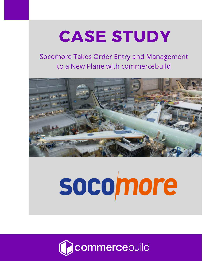## CASE STUDY

P

### Socomore Takes Order Entry and Management to a New Plane with commercebuild



# socomore